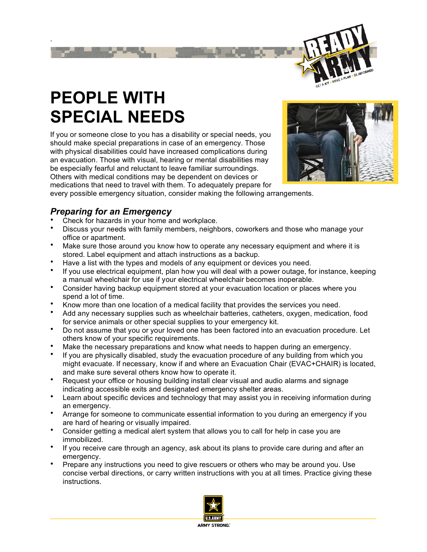

## **PEOPLE WITH SPECIAL NEEDS**

.

If you or someone close to you has a disability or special needs, you should make special preparations in case of an emergency. Those with physical disabilities could have increased complications during an evacuation. Those with visual, hearing or mental disabilities may be especially fearful and reluctant to leave familiar surroundings. Others with medical conditions may be dependent on devices or medications that need to travel with them. To adequately prepare for



every possible emergency situation, consider making the following arrangements.

## *Preparing for an Emergency*

- Check for hazards in your home and workplace.
- Discuss your needs with family members, neighbors, coworkers and those who manage your office or apartment.
- Make sure those around you know how to operate any necessary equipment and where it is stored. Label equipment and attach instructions as a backup.
- Have a list with the types and models of any equipment or devices you need.
- If you use electrical equipment, plan how you will deal with a power outage, for instance, keeping a manual wheelchair for use if your electrical wheelchair becomes inoperable.
- Consider having backup equipment stored at your evacuation location or places where you spend a lot of time.
- Know more than one location of a medical facility that provides the services you need.
- Add any necessary supplies such as wheelchair batteries, catheters, oxygen, medication, food for service animals or other special supplies to your emergency kit.
- Do not assume that you or your loved one has been factored into an evacuation procedure. Let others know of your specific requirements.
- Make the necessary preparations and know what needs to happen during an emergency.
- If you are physically disabled, study the evacuation procedure of any building from which you might evacuate. If necessary, know if and where an Evacuation Chair (EVAC+CHAIR) is located, and make sure several others know how to operate it.
- Request your office or housing building install clear visual and audio alarms and signage indicating accessible exits and designated emergency shelter areas.
- Learn about specific devices and technology that may assist you in receiving information during an emergency.
- Arrange for someone to communicate essential information to you during an emergency if you are hard of hearing or visually impaired.
- Consider getting a medical alert system that allows you to call for help in case you are immobilized.
- If you receive care through an agency, ask about its plans to provide care during and after an emergency.
- Prepare any instructions you need to give rescuers or others who may be around you. Use concise verbal directions, or carry written instructions with you at all times. Practice giving these instructions.